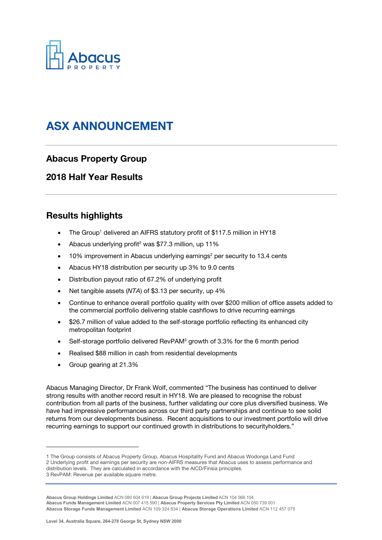

# ASX ANNOUNCEMENT

## Abacus Property Group

## 2018 Half Year Results

## Results highlights

- The Group<sup>1</sup> delivered an AIFRS statutory profit of \$117.5 million in HY18
- Abacus underlying profit<sup>2</sup> was \$77.3 million, up 11%
- $\bullet$  10% improvement in Abacus underlying earnings<sup>2</sup> per security to 13.4 cents
- Abacus HY18 distribution per security up 3% to 9.0 cents
- Distribution payout ratio of 67.2% of underlying profit
- Net tangible assets (NTA) of \$3.13 per security, up 4%
- Continue to enhance overall portfolio quality with over \$200 million of office assets added to the commercial portfolio delivering stable cashflows to drive recurring earnings
- \$26.7 million of value added to the self-storage portfolio reflecting its enhanced city metropolitan footprint
- Self-storage portfolio delivered RevPAM<sup>3</sup> growth of 3.3% for the 6 month period
- Realised \$88 million in cash from residential developments
- Group gearing at 21.3%

l

Abacus Managing Director, Dr Frank Wolf, commented "The business has continued to deliver strong results with another record result in HY18. We are pleased to recognise the robust contribution from all parts of the business, further validating our core plus diversified business. We have had impressive performances across our third party partnerships and continue to see solid returns from our developments business. Recent acquisitions to our investment portfolio will drive recurring earnings to support our continued growth in distributions to securityholders."

<sup>1</sup> The Group consists of Abacus Property Group, Abacus Hospitality Fund and Abacus Wodonga Land Fund 2 Underlying profit and earnings per security are non-AIFRS measures that Abacus uses to assess performance and distribution levels. They are calculated in accordance with the AICD/Finsia principles. 3 RevPAM: Revenue per available square metre.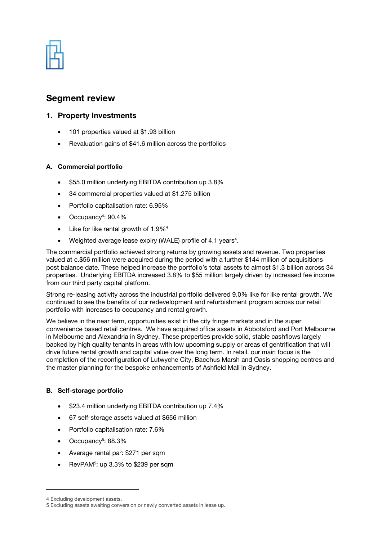| w<br>Ŧ. |   | <b>Property</b> | <b>START</b><br>W |   |  |
|---------|---|-----------------|-------------------|---|--|
|         |   | W<br>- 13       | ÷.                |   |  |
|         | ï |                 |                   | ï |  |
|         | τ | ल्ला            | X.                |   |  |

## Segment review

### 1. Property Investments

- 101 properties valued at \$1.93 billion
- Revaluation gains of \$41.6 million across the portfolios

#### A. Commercial portfolio

- \$55.0 million underlying EBITDA contribution up 3.8%
- 34 commercial properties valued at \$1.275 billion
- Portfolio capitalisation rate: 6.95%
- Occupancy<sup>4</sup>: 90.4%
- Like for like rental growth of 1.9%<sup>4</sup>
- Weighted average lease expiry (WALE) profile of 4.1 years<sup>4</sup>.

The commercial portfolio achieved strong returns by growing assets and revenue. Two properties valued at c.\$56 million were acquired during the period with a further \$144 million of acquisitions post balance date. These helped increase the portfolio's total assets to almost \$1.3 billion across 34 properties. Underlying EBITDA increased 3.8% to \$55 million largely driven by increased fee income from our third party capital platform.

Strong re-leasing activity across the industrial portfolio delivered 9.0% like for like rental growth. We continued to see the benefits of our redevelopment and refurbishment program across our retail portfolio with increases to occupancy and rental growth.

We believe in the near term, opportunities exist in the city fringe markets and in the super convenience based retail centres. We have acquired office assets in Abbotsford and Port Melbourne in Melbourne and Alexandria in Sydney. These properties provide solid, stable cashflows largely backed by high quality tenants in areas with low upcoming supply or areas of gentrification that will drive future rental growth and capital value over the long term. In retail, our main focus is the completion of the reconfiguration of Lutwyche City, Bacchus Marsh and Oasis shopping centres and the master planning for the bespoke enhancements of Ashfield Mall in Sydney.

#### B. Self-storage portfolio

- \$23.4 million underlying EBITDA contribution up 7.4%
- 67 self-storage assets valued at \$656 million
- Portfolio capitalisation rate: 7.6%
- Occupancy<sup>5</sup>: 88.3%
- Average rental pa<sup>5</sup>: \$271 per sqm
- RevPAM<sup>5</sup>: up 3.3% to \$239 per sqm

l

<sup>4</sup> Excluding development assets.

<sup>5</sup> Excluding assets awaiting conversion or newly converted assets in lease up.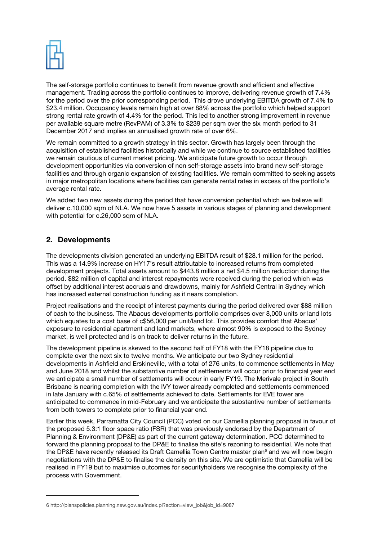

The self-storage portfolio continues to benefit from revenue growth and efficient and effective management. Trading across the portfolio continues to improve, delivering revenue growth of 7.4% for the period over the prior corresponding period. This drove underlying EBITDA growth of 7.4% to \$23.4 million. Occupancy levels remain high at over 88% across the portfolio which helped support strong rental rate growth of 4.4% for the period. This led to another strong improvement in revenue per available square metre (RevPAM) of 3.3% to \$239 per sqm over the six month period to 31 December 2017 and implies an annualised growth rate of over 6%.

We remain committed to a growth strategy in this sector. Growth has largely been through the acquisition of established facilities historically and while we continue to source established facilities we remain cautious of current market pricing. We anticipate future growth to occur through development opportunities via conversion of non self-storage assets into brand new self-storage facilities and through organic expansion of existing facilities. We remain committed to seeking assets in major metropolitan locations where facilities can generate rental rates in excess of the portfolio's average rental rate.

We added two new assets during the period that have conversion potential which we believe will deliver c.10,000 sqm of NLA. We now have 5 assets in various stages of planning and development with potential for c.26,000 sqm of NLA.

## 2. Developments

l

The developments division generated an underlying EBITDA result of \$28.1 million for the period. This was a 14.9% increase on HY17's result attributable to increased returns from completed development projects. Total assets amount to \$443.8 million a net \$4.5 million reduction during the period. \$82 million of capital and interest repayments were received during the period which was offset by additional interest accruals and drawdowns, mainly for Ashfield Central in Sydney which has increased external construction funding as it nears completion.

Project realisations and the receipt of interest payments during the period delivered over \$88 million of cash to the business. The Abacus developments portfolio comprises over 8,000 units or land lots which equates to a cost base of c\$56,000 per unit/land lot. This provides comfort that Abacus' exposure to residential apartment and land markets, where almost 90% is exposed to the Sydney market, is well protected and is on track to deliver returns in the future.

The development pipeline is skewed to the second half of FY18 with the FY18 pipeline due to complete over the next six to twelve months. We anticipate our two Sydney residential developments in Ashfield and Erskineville, with a total of 276 units, to commence settlements in May and June 2018 and whilst the substantive number of settlements will occur prior to financial year end we anticipate a small number of settlements will occur in early FY19. The Merivale project in South Brisbane is nearing completion with the IVY tower already completed and settlements commenced in late January with c.65% of settlements achieved to date. Settlements for EVE tower are anticipated to commence in mid-February and we anticipate the substantive number of settlements from both towers to complete prior to financial year end.

Earlier this week, Parramatta City Council (PCC) voted on our Camellia planning proposal in favour of the proposed 5.3:1 floor space ratio (FSR) that was previously endorsed by the Department of Planning & Environment (DP&E) as part of the current gateway determination. PCC determined to forward the planning proposal to the DP&E to finalise the site's rezoning to residential. We note that the DP&E have recently released its Draft Camellia Town Centre master plan<sup>6</sup> and we will now begin negotiations with the DP&E to finalise the density on this site. We are optimistic that Camellia will be realised in FY19 but to maximise outcomes for securityholders we recognise the complexity of the process with Government.

<sup>6</sup> http://planspolicies.planning.nsw.gov.au/index.pl?action=view\_job&job\_id=9087